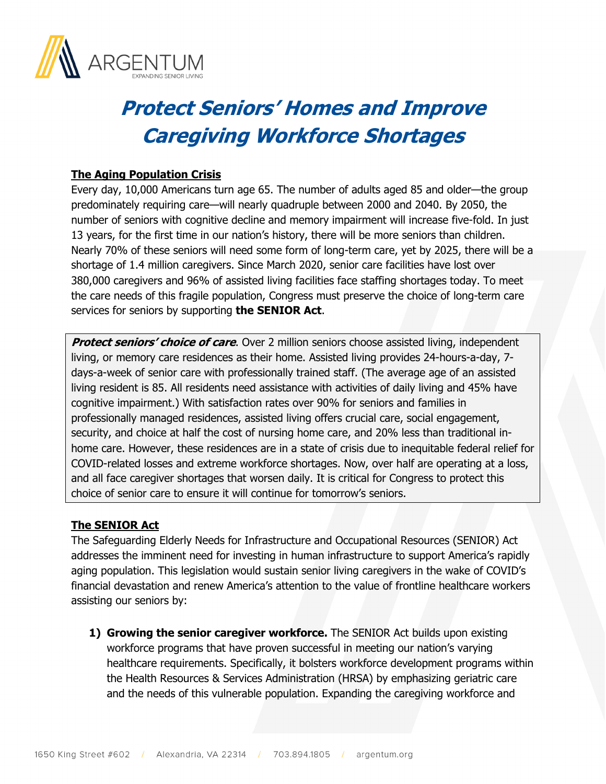

## **Protect Seniors' Homes and Improve Caregiving Workforce Shortages**

## **The Aging Population Crisis**

Every day, 10,000 Americans turn age 65. The number of adults aged 85 and older—the group predominately requiring care—will nearly quadruple between 2000 and 2040. By 2050, the number of seniors with cognitive decline and memory impairment will increase five-fold. In just 13 years, for the first time in our nation's history, there will be more seniors than children. Nearly 70% of these seniors will need some form of long-term care, yet by 2025, there will be a shortage of 1.4 million caregivers. Since March 2020, senior care facilities have lost over 380,000 caregivers and 96% of assisted living facilities face staffing shortages today. To meet the care needs of this fragile population, Congress must preserve the choice of long-term care services for seniors by supporting **the SENIOR Act**.

**Protect seniors' choice of care**. Over 2 million seniors choose assisted living, independent living, or memory care residences as their home. Assisted living provides 24-hours-a-day, 7 days-a-week of senior care with professionally trained staff. (The average age of an assisted living resident is 85. All residents need assistance with activities of daily living and 45% have cognitive impairment.) With satisfaction rates over 90% for seniors and families in professionally managed residences, assisted living offers crucial care, social engagement, security, and choice at half the cost of nursing home care, and 20% less than traditional inhome care. However, these residences are in a state of crisis due to inequitable federal relief for COVID-related losses and extreme workforce shortages. Now, over half are operating at a loss, and all face caregiver shortages that worsen daily. It is critical for Congress to protect this choice of senior care to ensure it will continue for tomorrow's seniors.

## **The SENIOR Act**

The Safeguarding Elderly Needs for Infrastructure and Occupational Resources (SENIOR) Act addresses the imminent need for investing in human infrastructure to support America's rapidly aging population. This legislation would sustain senior living caregivers in the wake of COVID's financial devastation and renew America's attention to the value of frontline healthcare workers assisting our seniors by:

**1) Growing the senior caregiver workforce.** The SENIOR Act builds upon existing workforce programs that have proven successful in meeting our nation's varying healthcare requirements. Specifically, it bolsters workforce development programs within the Health Resources & Services Administration (HRSA) by emphasizing geriatric care and the needs of this vulnerable population. Expanding the caregiving workforce and